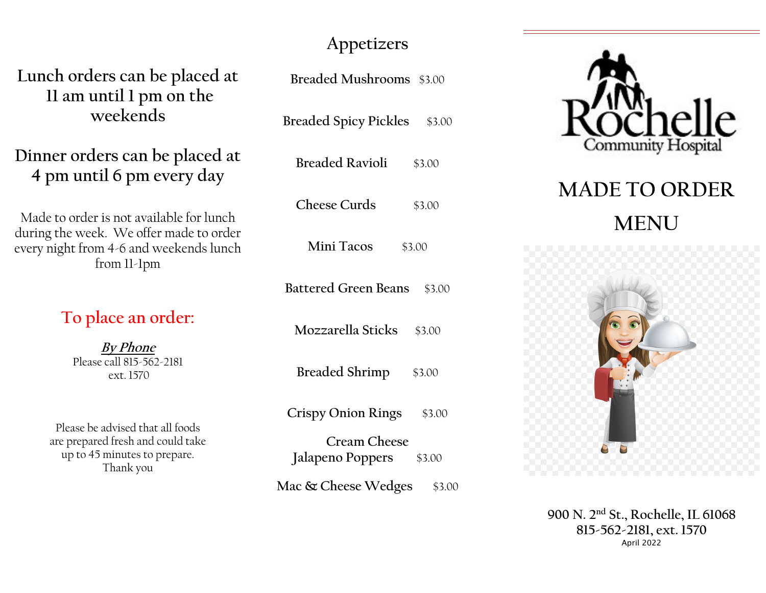## **Appetizers**

**Lunch orders can be placed at 11 am until 1 pm on the weekends** 

**Dinner orders can be placed at 4 pm until 6 pm every day** 

Made to order is not available for lunch during the week. We offer made to order every night from 4-6 and weekends lunch from 11-1pm

**To place an order:** 

**By Phone** Please call 815-562-2181 ext. 1570

Please be advised that all foods are prepared fresh and could take up to 45 minutes to prepare. Thank you

| Breaded Mushrooms \$3.00                       |
|------------------------------------------------|
| <b>Breaded Spicy Pickles</b> \$3.00            |
| Breaded Ravioli \$3.00                         |
| Cheese Curds<br>\$3.00                         |
| Mini Tacos \$3.00                              |
| Battered Green Beans \$3.00                    |
| Mozzarella Sticks \$3.00                       |
| Breaded Shrimp \$3.00                          |
| Crispy Onion Rings \$3.00                      |
| <b>Cream Cheese</b><br>Jalapeno Poppers \$3.00 |
| Mac & Cheese Wedges \$3.00                     |



# **MADE TO ORDER MENU**



**900 N. 2nd St., Rochelle, IL 61068 815-562-2181, ext. 1570** April 2022